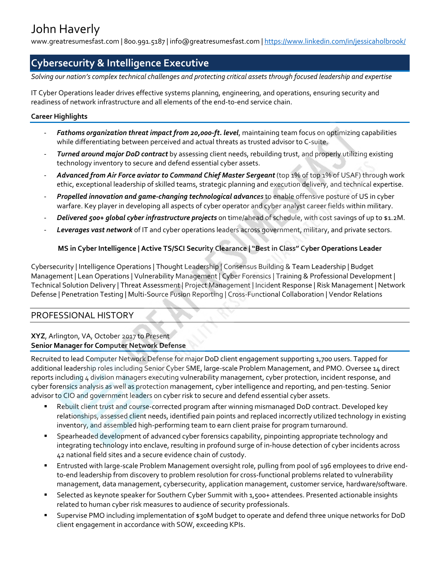# John Haverly

www.greatresumesfast.com | 800.991.5187 | info@greatresumesfast.com | https://www.linkedin.com/in/jessicaholbrook/

# **Cybersecurity & Intelligence Executive**

Solving our nation's complex technical challenges and protecting critical assets through focused leadership and expertise

IT Cyber Operations leader drives effective systems planning, engineering, and operations, ensuring security and readiness of network infrastructure and all elements of the end‐to‐end service chain.

### **Career Highlights**

- ‐ *Fathoms organization threat impact from 20,000‐ft. level*, maintaining team focus on optimizing capabilities while differentiating between perceived and actual threats as trusted advisor to C‐suite.
- ‐ *Turned around major DoD contract* by assessing client needs, rebuilding trust, and properly utilizing existing technology inventory to secure and defend essential cyber assets.
- ‐ *Advanced from Air Force aviator to Command Chief Master Sergeant* (top 1% of top 1% of USAF) through work ethic, exceptional leadership of skilled teams, strategic planning and execution delivery, and technical expertise.
- ‐ *Propelled innovation and game‐changing technological advances* to enable offensive posture of US in cyber warfare. Key player in developing all aspects of cyber operator and cyber analyst career fields within military.
- ‐ *Delivered 500+ global cyber infrastructure projects* on time/ahead of schedule, with cost savings of up to \$1.2M.
- ‐ *Leverages vast network* of IT and cyber operations leaders across government, military, and private sectors.

### **MS in Cyber Intelligence | Active TS/SCI Security Clearance | "Best in Class" Cyber Operations Leader**

Cybersecurity | Intelligence Operations | Thought Leadership | Consensus Building & Team Leadership | Budget Management | Lean Operations | Vulnerability Management | Cyber Forensics | Training & Professional Development | Technical Solution Delivery | Threat Assessment | Project Management | Incident Response | Risk Management | Network Defense | Penetration Testing | Multi‐Source Fusion Reporting | Cross‐Functional Collaboration | Vendor Relations

## PROFESSIONAL HISTORY

#### **XYZ**, Arlington, VA, October 2017 to Present **Senior Manager for Computer Network Defense**

Recruited to lead Computer Network Defense for major DoD client engagement supporting 1,700 users. Tapped for additional leadership roles including Senior Cyber SME, large‐scale Problem Management, and PMO. Oversee 14 direct reports including 4 division managers executing vulnerability management, cyber protection, incident response, and cyber forensics analysis as well as protection management, cyber intelligence and reporting, and pen‐testing. Senior advisor to CIO and government leaders on cyber risk to secure and defend essential cyber assets.

- Rebuilt client trust and course-corrected program after winning mismanaged DoD contract. Developed key relationships, assessed client needs, identified pain points and replaced incorrectly utilized technology in existing inventory, and assembled high‐performing team to earn client praise for program turnaround.
- Spearheaded development of advanced cyber forensics capability, pinpointing appropriate technology and integrating technology into enclave, resulting in profound surge of in‐house detection of cyber incidents across 42 national field sites and a secure evidence chain of custody.
- Entrusted with large-scale Problem Management oversight role, pulling from pool of 196 employees to drive endto-end leadership from discovery to problem resolution for cross-functional problems related to vulnerability management, data management, cybersecurity, application management, customer service, hardware/software.
- Selected as keynote speaker for Southern Cyber Summit with 1,500+ attendees. Presented actionable insights related to human cyber risk measures to audience of security professionals.
- Supervise PMO including implementation of \$30M budget to operate and defend three unique networks for DoD client engagement in accordance with SOW, exceeding KPIs.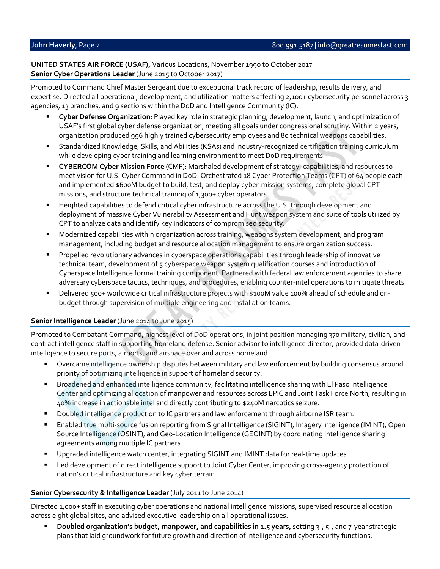#### **UNITED STATES AIR FORCE (USAF),** Various Locations, November 1990 to October 2017 **Senior Cyber Operations Leader** (June 2015 to October 2017)

Promoted to Command Chief Master Sergeant due to exceptional track record of leadership, results delivery, and expertise. Directed all operational, development, and utilization matters affecting 2,100+ cybersecurity personnel across 3 agencies, 13 branches, and 9 sections within the DoD and Intelligence Community (IC).

- **Cyber Defense Organization**: Played key role in strategic planning, development, launch, and optimization of USAF's first global cyber defense organization, meeting all goals under congressional scrutiny. Within 2 years, organization produced 996 highly trained cybersecurity employees and 80 technical weapons capabilities.
- Standardized Knowledge, Skills, and Abilities (KSAs) and industry‐recognized certification training curriculum while developing cyber training and learning environment to meet DoD requirements.
- **CYBERCOM Cyber Mission Force** (CMF): Marshaled development of strategy, capabilities, and resources to meet vision for U.S. Cyber Command in DoD. Orchestrated 18 Cyber Protection Teams (CPT) of 64 people each and implemented \$600M budget to build, test, and deploy cyber-mission systems, complete global CPT missions, and structure technical training of 1,300+ cyber operators.
- Heighted capabilities to defend critical cyber infrastructure across the U.S. through development and deployment of massive Cyber Vulnerability Assessment and Hunt weapon system and suite of tools utilized by CPT to analyze data and identify key indicators of compromised security.
- Modernized capabilities within organization across training, weapons system development, and program management, including budget and resource allocation management to ensure organization success.
- Propelled revolutionary advances in cyberspace operations capabilities through leadership of innovative technical team, development of 5 cyberspace weapon system qualification courses and introduction of Cyberspace Intelligence formal training component. Partnered with federal law enforcement agencies to share adversary cyberspace tactics, techniques, and procedures, enabling counter‐intel operations to mitigate threats.
- Delivered 500+ worldwide critical infrastructure projects with \$100M value 100% ahead of schedule and onbudget through supervision of multiple engineering and installation teams.

#### **Senior Intelligence Leader** (June 2014 to June 2015)

Promoted to Combatant Command, highest level of DoD operations, in joint position managing 370 military, civilian, and contract intelligence staff in supporting homeland defense. Senior advisor to intelligence director, provided data‐driven intelligence to secure ports, airports, and airspace over and across homeland.

- Overcame intelligence ownership disputes between military and law enforcement by building consensus around priority of optimizing intelligence in support of homeland security.
- Broadened and enhanced intelligence community, facilitating intelligence sharing with El Paso Intelligence Center and optimizing allocation of manpower and resources across EPIC and Joint Task Force North, resulting in 40% increase in actionable intel and directly contributing to \$240M narcotics seizure.
- Doubled intelligence production to IC partners and law enforcement through airborne ISR team.
- Enabled true multi-source fusion reporting from Signal Intelligence (SIGINT), Imagery Intelligence (IMINT), Open Source Intelligence (OSINT), and Geo‐Location Intelligence (GEOINT) by coordinating intelligence sharing agreements among multiple IC partners.
- Upgraded intelligence watch center, integrating SIGINT and IMINT data for real-time updates.
- Led development of direct intelligence support to Joint Cyber Center, improving cross-agency protection of nation's critical infrastructure and key cyber terrain.

#### **Senior Cybersecurity & Intelligence Leader** (July 2011 to June 2014)

Directed 1,000+ staff in executing cyber operations and national intelligence missions, supervised resource allocation across eight global sites, and advised executive leadership on all operational issues.

 **Doubled organization's budget, manpower, and capabilities in 1.5 years,** setting 3‐, 5‐, and 7‐year strategic plans that laid groundwork for future growth and direction of intelligence and cybersecurity functions.